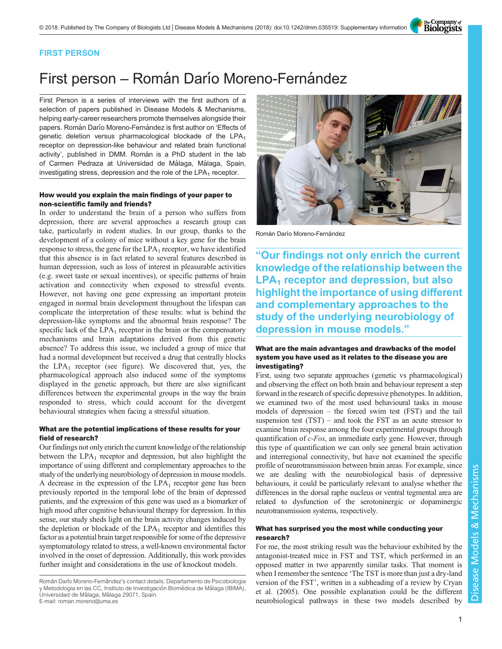The Company of<br>**Biologists** 

## FIRST PERSON

# First person – Román Darío Moreno-Fernández

First Person is a series of interviews with the first authors of a selection of papers published in Disease Models & Mechanisms, helping early-career researchers promote themselves alongside their papers. Román Darío Moreno-Fernández is first author on '[Effects of](#page-1-0) genetic deletion versus pharmacological blockade of the LPA<sub>1</sub> [receptor on depression-like behaviour and related brain functional](#page-1-0) [activity](#page-1-0)', published in DMM. Román is a PhD student in the lab of Carmen Pedraza at Universidad de Málaga, Málaga, Spain, investigating stress, depression and the role of the  $LPA<sub>1</sub>$  receptor.

## How would you explain the main findings of your paper to non-scientific family and friends?

In order to understand the brain of a person who suffers from depression, there are several approaches a research group can take, particularly in rodent studies. In our group, thanks to the development of a colony of mice without a key gene for the brain response to stress, the gene for the  $LPA<sub>1</sub>$  receptor, we have identified that this absence is in fact related to several features described in human depression, such as loss of interest in pleasurable activities (e.g. sweet taste or sexual incentives), or specific patterns of brain activation and connectivity when exposed to stressful events. However, not having one gene expressing an important protein engaged in normal brain development throughout the lifespan can complicate the interpretation of these results: what is behind the depression-like symptoms and the abnormal brain response? The specific lack of the  $LPA_1$  receptor in the brain or the compensatory mechanisms and brain adaptations derived from this genetic absence? To address this issue, we included a group of mice that had a normal development but received a drug that centrally blocks the  $LPA<sub>1</sub>$  receptor (see figure). We discovered that, yes, the pharmacological approach also induced some of the symptoms displayed in the genetic approach, but there are also significant differences between the experimental groups in the way the brain responded to stress, which could account for the divergent behavioural strategies when facing a stressful situation.

#### What are the potential implications of these results for your field of research?

Our findings not only enrich the current knowledge of the relationship between the  $LPA_1$  receptor and depression, but also highlight the importance of using different and complementary approaches to the study of the underlying neurobiology of depression in mouse models. A decrease in the expression of the  $LPA_1$  receptor gene has been previously reported in the temporal lobe of the brain of depressed patients, and the expression of this gene was used as a biomarker of high mood after cognitive behavioural therapy for depression. In this sense, our study sheds light on the brain activity changes induced by the depletion or blockade of the  $LPA_1$  receptor and identifies this factor as a potential brain target responsible for some of the depressive symptomatology related to stress, a well-known environmental factor involved in the onset of depression. Additionally, this work provides further insight and considerations in the use of knockout models.



Román Darío Moreno-Fernández

"Our findings not only enrich the current knowledge of the relationship between the  $LPA<sub>1</sub>$  receptor and depression, but also highlight the importance of using different and complementary approaches to the study of the underlying neurobiology of depression in mouse models."

## What are the main advantages and drawbacks of the model system you have used as it relates to the disease you are investigating?

First, using two separate approaches (genetic vs pharmacological) and observing the effect on both brain and behaviour represent a step forward in the research of specific depressive phenotypes. In addition, we examined two of the most used behavioural tasks in mouse models of depression – the forced swim test (FST) and the tail suspension test  $(TST)$  – and took the FST as an acute stressor to examine brain response among the four experimental groups through quantification of c-Fos, an immediate early gene. However, through this type of quantification we can only see general brain activation and interregional connectivity, but have not examined the specific profile of neurotransmission between brain areas. For example, since we are dealing with the neurobiological basis of depressive behaviours, it could be particularly relevant to analyse whether the differences in the dorsal raphe nucleus or ventral tegmental area are related to dysfunction of the serotoninergic or dopaminergic neurotransmission systems, respectively.

## What has surprised you the most while conducting your research?

For me, the most striking result was the behaviour exhibited by the antagonist-treated mice in FST and TST, which performed in an opposed matter in two apparently similar tasks. That moment is when I remember the sentence 'The TST is more than just a dry-land version of the FST', written in a subheading of a review by Cryan et al. (2005). One possible explanation could be the different neurobiological pathways in these two models described by

Román Darío Moreno-Fernández's contact details: Departamento de Psicobiologia y Metodologia en las CC, Instituto de Investigación Biomédica de Málaga (IBIMA), Universidad de Málaga, Málaga 29071, Spain. E-mail: [roman.moreno@uma.es](mailto:roman.moreno@uma.es)